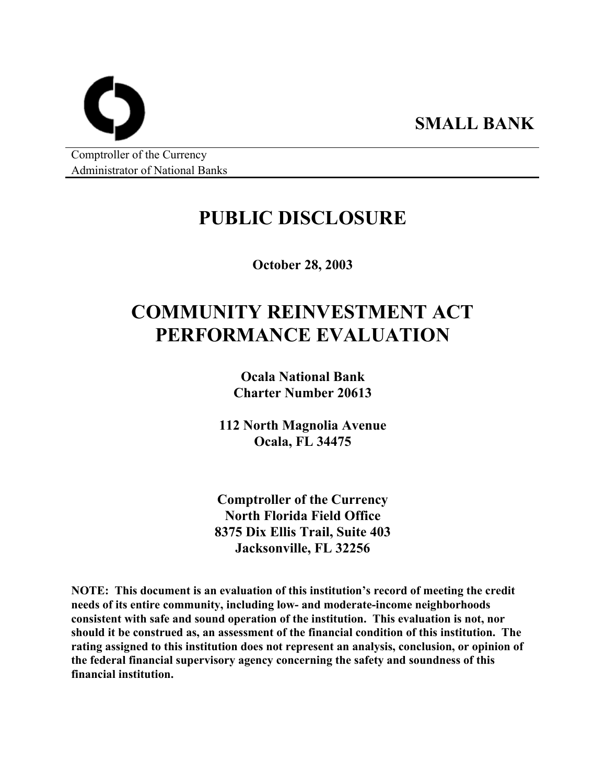Comptroller of the Currency Administrator of National Banks

# **PUBLIC DISCLOSURE**

**SMALL BANK** 

**October 28, 2003** 

# **COMMUNITY REINVESTMENT ACT PERFORMANCE EVALUATION**

**Ocala National Bank Charter Number 20613** 

**112 North Magnolia Avenue Ocala, FL 34475** 

**Comptroller of the Currency North Florida Field Office 8375 Dix Ellis Trail, Suite 403 Jacksonville, FL 32256** 

**NOTE: This document is an evaluation of this institution's record of meeting the credit needs of its entire community, including low- and moderate-income neighborhoods consistent with safe and sound operation of the institution. This evaluation is not, nor should it be construed as, an assessment of the financial condition of this institution. The rating assigned to this institution does not represent an analysis, conclusion, or opinion of the federal financial supervisory agency concerning the safety and soundness of this financial institution.**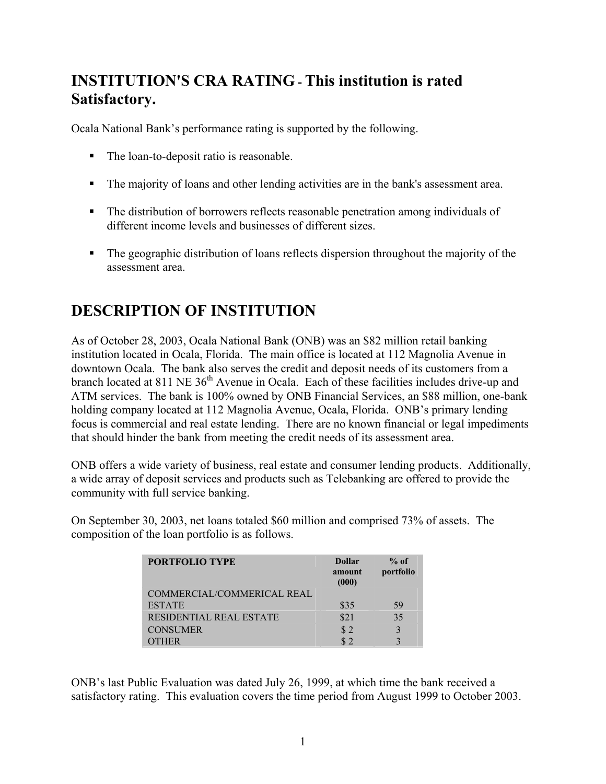## **INSTITUTION'S CRA RATING - This institution is rated Satisfactory.**

Ocala National Bank's performance rating is supported by the following.

- The loan-to-deposit ratio is reasonable.
- The majority of loans and other lending activities are in the bank's assessment area.
- The distribution of borrowers reflects reasonable penetration among individuals of different income levels and businesses of different sizes.
- The geographic distribution of loans reflects dispersion throughout the majority of the assessment area.

## **DESCRIPTION OF INSTITUTION**

As of October 28, 2003, Ocala National Bank (ONB) was an \$82 million retail banking institution located in Ocala, Florida. The main office is located at 112 Magnolia Avenue in downtown Ocala. The bank also serves the credit and deposit needs of its customers from a branch located at 811 NE 36<sup>th</sup> Avenue in Ocala. Each of these facilities includes drive-up and ATM services. The bank is 100% owned by ONB Financial Services, an \$88 million, one-bank holding company located at 112 Magnolia Avenue, Ocala, Florida. ONB's primary lending focus is commercial and real estate lending. There are no known financial or legal impediments that should hinder the bank from meeting the credit needs of its assessment area.

ONB offers a wide variety of business, real estate and consumer lending products. Additionally, a wide array of deposit services and products such as Telebanking are offered to provide the community with full service banking.

On September 30, 2003, net loans totaled \$60 million and comprised 73% of assets. The composition of the loan portfolio is as follows.

| <b>PORTFOLIO TYPE</b>          | <b>Dollar</b><br>amount<br>(000) | $%$ of<br>portfolio |
|--------------------------------|----------------------------------|---------------------|
| COMMERCIAL/COMMERICAL REAL     |                                  |                     |
| <b>ESTATE</b>                  | \$35                             | 59                  |
| <b>RESIDENTIAL REAL ESTATE</b> | \$21                             | 35                  |
| <b>CONSUMER</b>                | \$2                              |                     |
| )THER                          | $\hat{\mathbf{S}}$               |                     |

ONB's last Public Evaluation was dated July 26, 1999, at which time the bank received a satisfactory rating. This evaluation covers the time period from August 1999 to October 2003.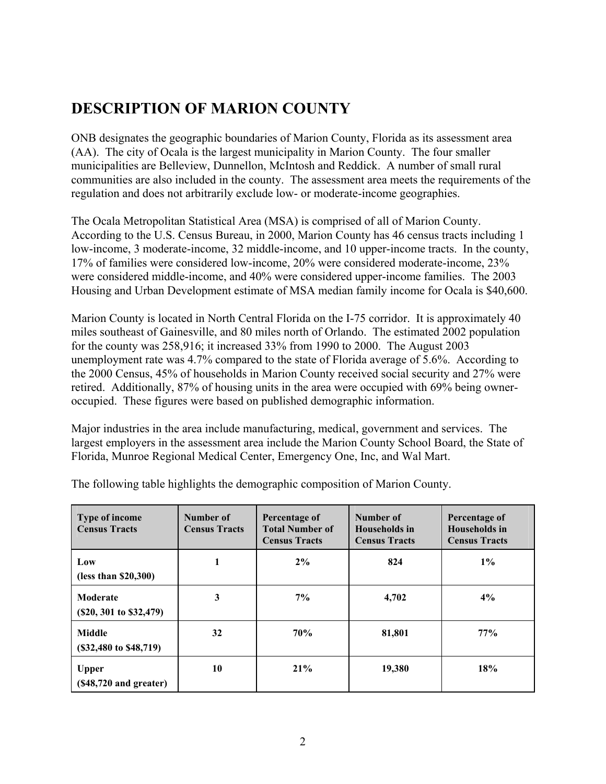### **DESCRIPTION OF MARION COUNTY**

ONB designates the geographic boundaries of Marion County, Florida as its assessment area (AA). The city of Ocala is the largest municipality in Marion County. The four smaller municipalities are Belleview, Dunnellon, McIntosh and Reddick. A number of small rural communities are also included in the county. The assessment area meets the requirements of the regulation and does not arbitrarily exclude low- or moderate-income geographies.

The Ocala Metropolitan Statistical Area (MSA) is comprised of all of Marion County. According to the U.S. Census Bureau, in 2000, Marion County has 46 census tracts including 1 low-income, 3 moderate-income, 32 middle-income, and 10 upper-income tracts. In the county, 17% of families were considered low-income, 20% were considered moderate-income, 23% were considered middle-income, and 40% were considered upper-income families. The 2003 Housing and Urban Development estimate of MSA median family income for Ocala is \$40,600.

Marion County is located in North Central Florida on the I-75 corridor. It is approximately 40 miles southeast of Gainesville, and 80 miles north of Orlando. The estimated 2002 population for the county was 258,916; it increased 33% from 1990 to 2000. The August 2003 unemployment rate was 4.7% compared to the state of Florida average of 5.6%. According to the 2000 Census, 45% of households in Marion County received social security and 27% were retired. Additionally, 87% of housing units in the area were occupied with 69% being owneroccupied. These figures were based on published demographic information.

Major industries in the area include manufacturing, medical, government and services. The largest employers in the assessment area include the Marion County School Board, the State of Florida, Munroe Regional Medical Center, Emergency One, Inc, and Wal Mart.

| Type of income<br><b>Census Tracts</b>    | Number of<br><b>Census Tracts</b> | Percentage of<br><b>Total Number of</b><br><b>Census Tracts</b> | Number of<br><b>Households</b> in<br><b>Census Tracts</b> | Percentage of<br>Households in<br><b>Census Tracts</b> |
|-------------------------------------------|-----------------------------------|-----------------------------------------------------------------|-----------------------------------------------------------|--------------------------------------------------------|
| Low<br>(less than $$20,300$ )             |                                   | 2%                                                              | 824                                                       | $1\%$                                                  |
| Moderate<br>$(S20, 301$ to $S32,479)$     | 3                                 | $7\%$                                                           | 4,702                                                     | 4%                                                     |
| Middle<br>$($32,480 \text{ to } $48,719)$ | 32                                | 70%                                                             | 81,801                                                    | 77%                                                    |
| <b>Upper</b><br>$(S48,720$ and greater)   | 10                                | 21%                                                             | 19,380                                                    | 18%                                                    |

The following table highlights the demographic composition of Marion County.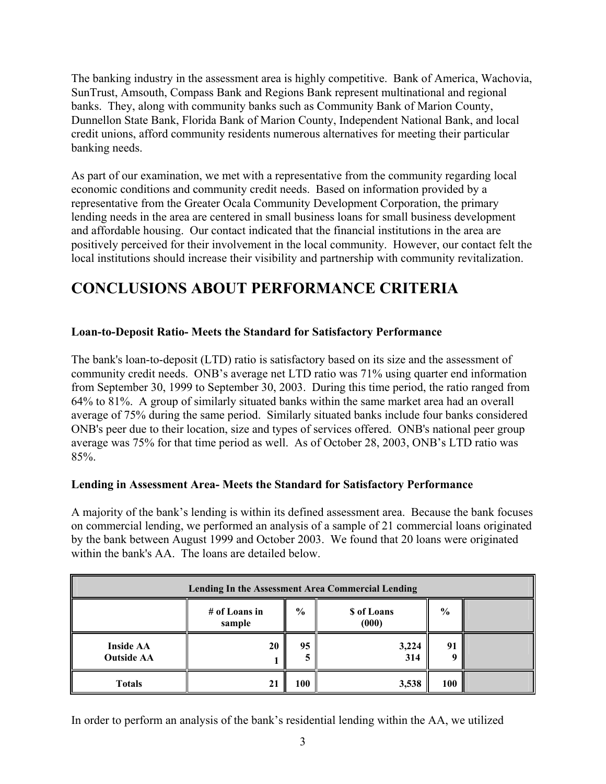The banking industry in the assessment area is highly competitive. Bank of America, Wachovia, SunTrust, Amsouth, Compass Bank and Regions Bank represent multinational and regional banks. They, along with community banks such as Community Bank of Marion County, Dunnellon State Bank, Florida Bank of Marion County, Independent National Bank, and local credit unions, afford community residents numerous alternatives for meeting their particular banking needs.

As part of our examination, we met with a representative from the community regarding local economic conditions and community credit needs. Based on information provided by a representative from the Greater Ocala Community Development Corporation, the primary lending needs in the area are centered in small business loans for small business development and affordable housing. Our contact indicated that the financial institutions in the area are positively perceived for their involvement in the local community. However, our contact felt the local institutions should increase their visibility and partnership with community revitalization.

### **CONCLUSIONS ABOUT PERFORMANCE CRITERIA**

### **Loan-to-Deposit Ratio- Meets the Standard for Satisfactory Performance**

The bank's loan-to-deposit (LTD) ratio is satisfactory based on its size and the assessment of community credit needs. ONB's average net LTD ratio was 71% using quarter end information from September 30, 1999 to September 30, 2003. During this time period, the ratio ranged from 64% to 81%. A group of similarly situated banks within the same market area had an overall average of 75% during the same period. Similarly situated banks include four banks considered ONB's peer due to their location, size and types of services offered. ONB's national peer group average was 75% for that time period as well. As of October 28, 2003, ONB's LTD ratio was 85%.

#### **Lending in Assessment Area- Meets the Standard for Satisfactory Performance**

A majority of the bank's lending is within its defined assessment area. Because the bank focuses on commercial lending, we performed an analysis of a sample of 21 commercial loans originated by the bank between August 1999 and October 2003. We found that 20 loans were originated within the bank's AA. The loans are detailed below.

| <b>Lending In the Assessment Area Commercial Lending</b> |                         |               |                            |                        |  |
|----------------------------------------------------------|-------------------------|---------------|----------------------------|------------------------|--|
|                                                          | # of Loans in<br>sample | $\frac{0}{0}$ | <b>S</b> of Loans<br>(000) | $\frac{6}{9}$          |  |
| <b>Inside AA</b><br><b>Outside AA</b>                    | 20                      | 95            | 3,224<br>314               | $\mathbf{Q}^{\dagger}$ |  |
| <b>Totals</b>                                            | 21                      | 100           | 3,538                      | 100                    |  |

In order to perform an analysis of the bank's residential lending within the AA, we utilized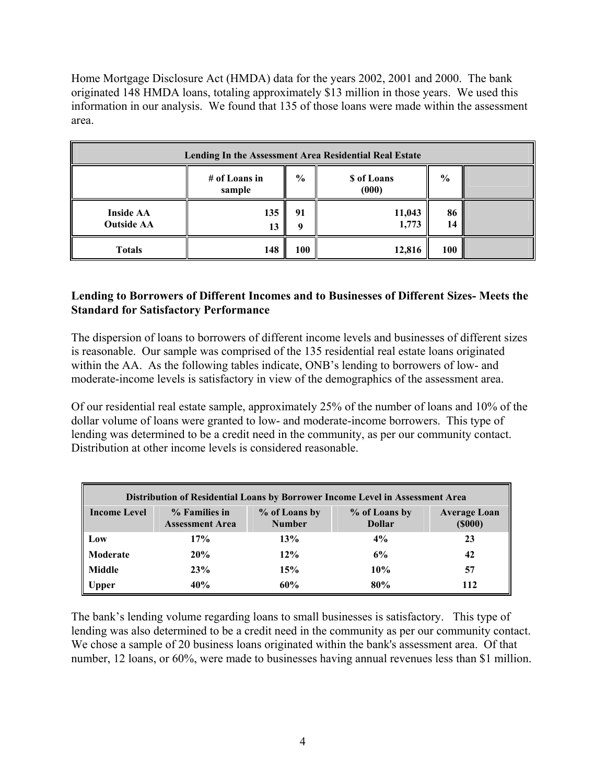Home Mortgage Disclosure Act (HMDA) data for the years 2002, 2001 and 2000. The bank originated 148 HMDA loans, totaling approximately \$13 million in those years. We used this information in our analysis. We found that 135 of those loans were made within the assessment area.

| Lending In the Assessment Area Residential Real Estate |                           |               |                             |               |  |
|--------------------------------------------------------|---------------------------|---------------|-----------------------------|---------------|--|
|                                                        | $#$ of Loans in<br>sample | $\frac{0}{0}$ | <b>\$</b> of Loans<br>(000) | $\frac{6}{6}$ |  |
| <b>Inside AA</b><br><b>Outside AA</b>                  | 135<br>13                 | 91<br>o       | 11,043<br>1,773             | 86<br>14      |  |
| <b>Totals</b>                                          | 148                       | 100           | 12,816                      | <b>100</b>    |  |

### **Lending to Borrowers of Different Incomes and to Businesses of Different Sizes- Meets the Standard for Satisfactory Performance**

The dispersion of loans to borrowers of different income levels and businesses of different sizes is reasonable. Our sample was comprised of the 135 residential real estate loans originated within the AA. As the following tables indicate, ONB's lending to borrowers of low- and moderate-income levels is satisfactory in view of the demographics of the assessment area.

Of our residential real estate sample, approximately 25% of the number of loans and 10% of the dollar volume of loans were granted to low- and moderate-income borrowers. This type of lending was determined to be a credit need in the community, as per our community contact. Distribution at other income levels is considered reasonable.

| Distribution of Residential Loans by Borrower Income Level in Assessment Area |                                         |                                |                                |                                      |  |
|-------------------------------------------------------------------------------|-----------------------------------------|--------------------------------|--------------------------------|--------------------------------------|--|
| <b>Income Level</b>                                                           | % Families in<br><b>Assessment Area</b> | % of Loans by<br><b>Number</b> | % of Loans by<br><b>Dollar</b> | <b>Average Loan</b><br>$($ \$000 $)$ |  |
| Low                                                                           | 17%                                     | 13%                            | 4%                             | 23                                   |  |
| Moderate                                                                      | 20%                                     | $12\%$                         | 6%                             | 42                                   |  |
| Middle                                                                        | 23%                                     | 15%                            | 10%                            | 57                                   |  |
| Upper                                                                         | 40%                                     | 60%                            | 80%                            | 112                                  |  |

The bank's lending volume regarding loans to small businesses is satisfactory. This type of lending was also determined to be a credit need in the community as per our community contact. We chose a sample of 20 business loans originated within the bank's assessment area. Of that number, 12 loans, or 60%, were made to businesses having annual revenues less than \$1 million.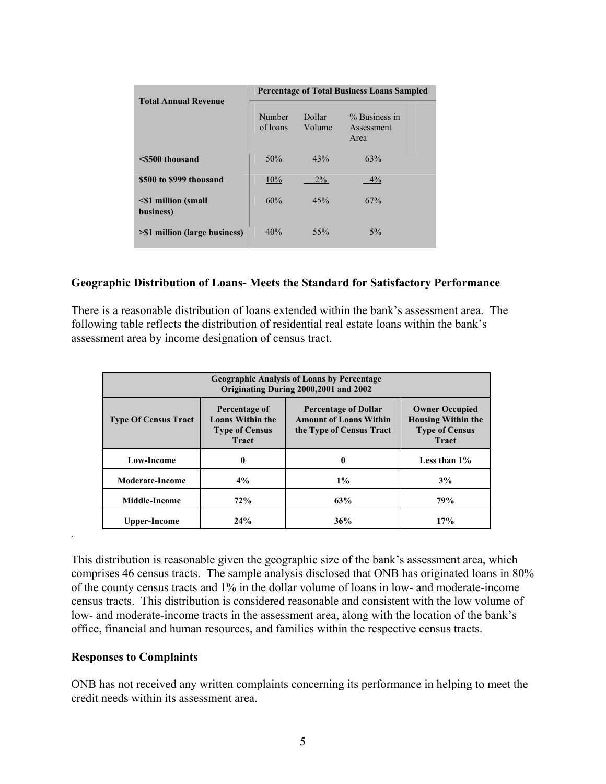| <b>Total Annual Revenue</b>       | <b>Percentage of Total Business Loans Sampled</b> |                  |                                       |  |
|-----------------------------------|---------------------------------------------------|------------------|---------------------------------------|--|
|                                   | Number<br>of loans                                | Dollar<br>Volume | $%$ Business in<br>Assessment<br>Area |  |
| <\$500 thousand                   | 50%                                               | 43%              | 63%                                   |  |
| \$500 to \$999 thousand           | 10%                                               | $2\%$            | $4\%$                                 |  |
| <\$1 million (small)<br>business) | 60%                                               | 45%              | 67%                                   |  |
| >\$1 million (large business)     | 40%                                               | 55%              | $5\%$                                 |  |

#### **Geographic Distribution of Loans- Meets the Standard for Satisfactory Performance**

There is a reasonable distribution of loans extended within the bank's assessment area. The following table reflects the distribution of residential real estate loans within the bank's assessment area by income designation of census tract.

| <b>Geographic Analysis of Loans by Percentage</b><br>Originating During 2000, 2001 and 2002 |                                                                                   |                                                                                             |                 |  |  |
|---------------------------------------------------------------------------------------------|-----------------------------------------------------------------------------------|---------------------------------------------------------------------------------------------|-----------------|--|--|
| <b>Type Of Census Tract</b>                                                                 | Percentage of<br><b>Loans Within the</b><br><b>Type of Census</b><br><b>Tract</b> | <b>Owner Occupied</b><br><b>Housing Within the</b><br><b>Type of Census</b><br><b>Tract</b> |                 |  |  |
| <b>Low-Income</b>                                                                           | 0                                                                                 | 0                                                                                           | Less than $1\%$ |  |  |
| <b>Moderate-Income</b>                                                                      | $4\%$                                                                             | $1\%$                                                                                       | 3%              |  |  |
| Middle-Income                                                                               | 72%                                                                               | 63%                                                                                         | 79%             |  |  |
| Upper-Income                                                                                | 24%                                                                               | 36%                                                                                         | 17%             |  |  |

This distribution is reasonable given the geographic size of the bank's assessment area, which comprises 46 census tracts. The sample analysis disclosed that ONB has originated loans in 80% of the county census tracts and 1% in the dollar volume of loans in low- and moderate-income census tracts. This distribution is considered reasonable and consistent with the low volume of low- and moderate-income tracts in the assessment area, along with the location of the bank's office, financial and human resources, and families within the respective census tracts.

#### **Responses to Complaints**

.

ONB has not received any written complaints concerning its performance in helping to meet the credit needs within its assessment area.